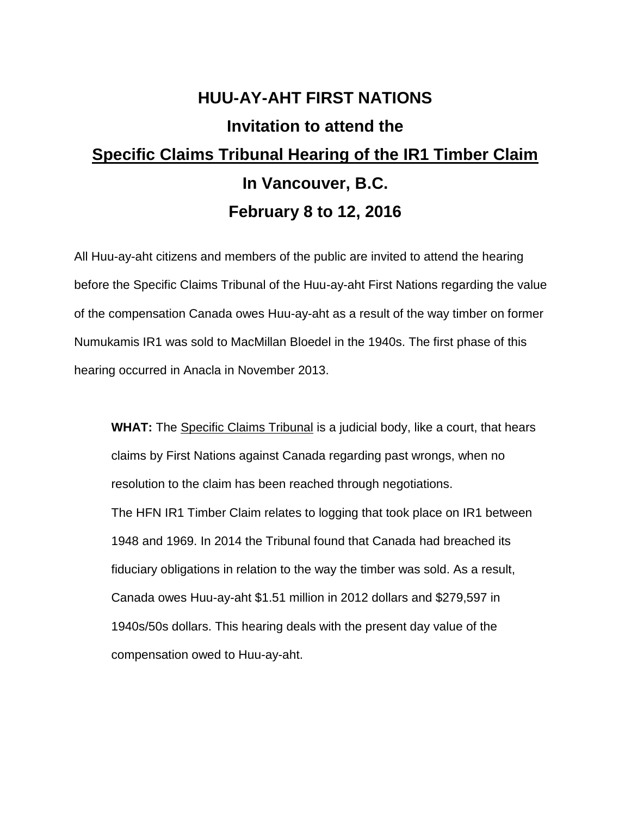## **HUU-AY-AHT FIRST NATIONS Invitation to attend the Specific Claims Tribunal Hearing of the IR1 Timber Claim In Vancouver, B.C. February 8 to 12, 2016**

All Huu-ay-aht citizens and members of the public are invited to attend the hearing before the Specific Claims Tribunal of the Huu-ay-aht First Nations regarding the value of the compensation Canada owes Huu-ay-aht as a result of the way timber on former Numukamis IR1 was sold to MacMillan Bloedel in the 1940s. The first phase of this hearing occurred in Anacla in November 2013.

**WHAT:** The Specific Claims Tribunal is a judicial body, like a court, that hears claims by First Nations against Canada regarding past wrongs, when no resolution to the claim has been reached through negotiations. The HFN IR1 Timber Claim relates to logging that took place on IR1 between 1948 and 1969. In 2014 the Tribunal found that Canada had breached its fiduciary obligations in relation to the way the timber was sold. As a result, Canada owes Huu-ay-aht \$1.51 million in 2012 dollars and \$279,597 in 1940s/50s dollars. This hearing deals with the present day value of the compensation owed to Huu-ay-aht.